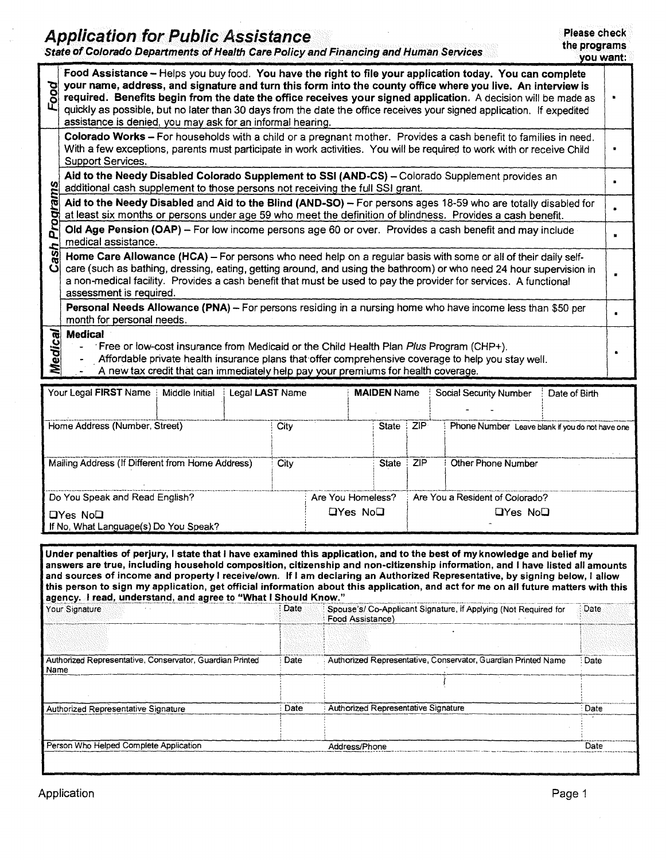|          | Please check<br><b>Application for Public Assistance</b><br>the programs<br>State of Colorado Departments of Health Care Policy and Financing and Human Services<br>you want:                                                                                                                                                                                                                                                                                                                                                      |   |  |  |  |  |  |  |  |
|----------|------------------------------------------------------------------------------------------------------------------------------------------------------------------------------------------------------------------------------------------------------------------------------------------------------------------------------------------------------------------------------------------------------------------------------------------------------------------------------------------------------------------------------------|---|--|--|--|--|--|--|--|
| Food     | Food Assistance - Helps you buy food. You have the right to file your application today. You can complete<br>your name, address, and signature and turn this form into the county office where you live. An interview is<br>required. Benefits begin from the date the office receives your signed application. A decision will be made as<br>quickly as possible, but no later than 30 days from the date the office receives your signed application. If expedited<br>assistance is denied, you may ask for an informal hearing. | ٠ |  |  |  |  |  |  |  |
|          | Colorado Works - For households with a child or a pregnant mother. Provides a cash benefit to families in need.<br>With a few exceptions, parents must participate in work activities. You will be required to work with or receive Child<br>Support Services.                                                                                                                                                                                                                                                                     |   |  |  |  |  |  |  |  |
|          | Aid to the Needy Disabled Colorado Supplement to SSI (AND-CS) - Colorado Supplement provides an<br>additional cash supplement to those persons not receiving the full SSI grant.                                                                                                                                                                                                                                                                                                                                                   |   |  |  |  |  |  |  |  |
| Programs | Aid to the Needy Disabled and Aid to the Blind (AND-SO) - For persons ages 18-59 who are totally disabled for<br>at least six months or persons under age 59 who meet the definition of blindness. Provides a cash benefit.                                                                                                                                                                                                                                                                                                        |   |  |  |  |  |  |  |  |
|          | Old Age Pension (OAP) – For low income persons age 60 or over. Provides a cash benefit and may include<br>medical assistance.                                                                                                                                                                                                                                                                                                                                                                                                      | п |  |  |  |  |  |  |  |
| ash<br>ڏ | Home Care Allowance (HCA) - For persons who need help on a regular basis with some or all of their daily self-<br>care (such as bathing, dressing, eating, getting around, and using the bathroom) or who need 24 hour supervision in<br>a non-medical facility. Provides a cash benefit that must be used to pay the provider for services. A functional<br>assessment is required.                                                                                                                                               |   |  |  |  |  |  |  |  |
|          | Personal Needs Allowance (PNA) - For persons residing in a nursing home who have income less than \$50 per<br>month for personal needs.                                                                                                                                                                                                                                                                                                                                                                                            |   |  |  |  |  |  |  |  |
| Medical  | <b>Medical</b><br>Free or low-cost insurance from Medicaid or the Child Health Plan Plus Program (CHP+).<br>Affordable private health insurance plans that offer comprehensive coverage to help you stay well.<br>A new tax credit that can immediately help pay your premiums for health coverage.                                                                                                                                                                                                                                |   |  |  |  |  |  |  |  |
|          | Your Legal FIRST Name   Middle Initial<br>Legal LAST Name<br><b>MAIDEN Name</b><br><b>Social Security Number</b><br>Date of Birth                                                                                                                                                                                                                                                                                                                                                                                                  |   |  |  |  |  |  |  |  |

| Home Address (Number, Street)                    |  | City              |              | State ZIP | Phone Number Leave blank if you do not have one |
|--------------------------------------------------|--|-------------------|--------------|-----------|-------------------------------------------------|
|                                                  |  |                   |              |           |                                                 |
| Mailing Address (If Different from Home Address) |  |                   | <b>State</b> | ZIP       | Other Phone Number                              |
|                                                  |  |                   |              |           |                                                 |
| Do You Speak and Read English?                   |  | Are You Homeless? |              |           | Are You a Resident of Colorado?                 |
| $\Box$ Yes No $\Box$                             |  |                   | $DYes$ $NoD$ |           | $\Box$ Yes No $\Box$                            |
| If No. What Language(s) Do You Speak?            |  |                   |              |           |                                                 |

Under penalties of perjury, I state that I have examined this application, and to the best of my knowledge and belief my answers are true, including household composition, citizenship and non-citizenship information, and I have listed all amounts and sources of income and property I receive/own. If I am declaring an Authorized Representative, by signing below, I allow **this person to sign my application, get official information about this application, and act for me on all future matters with this approxy. I read, understand, and agree to "What I Should Know."<br>
Your Signature in Applyi agency. I read, understand, and agree to "What I Should Know."**  Your Signature **Date** Spouse's/ Co-Applicant Signature, if Applying (Not Required for Food Assistance) **Date** • Authorized Representative, Conservator, Guardian Printed | Date Name Authorized Representative, Conservator, Guardian Printed Name : Date , Authorized Representative Signature **Date** Bate Authorized Representative Signature **Date** Date Date Person Who Helped Complete Application **Address/Phone** Address/Phone Date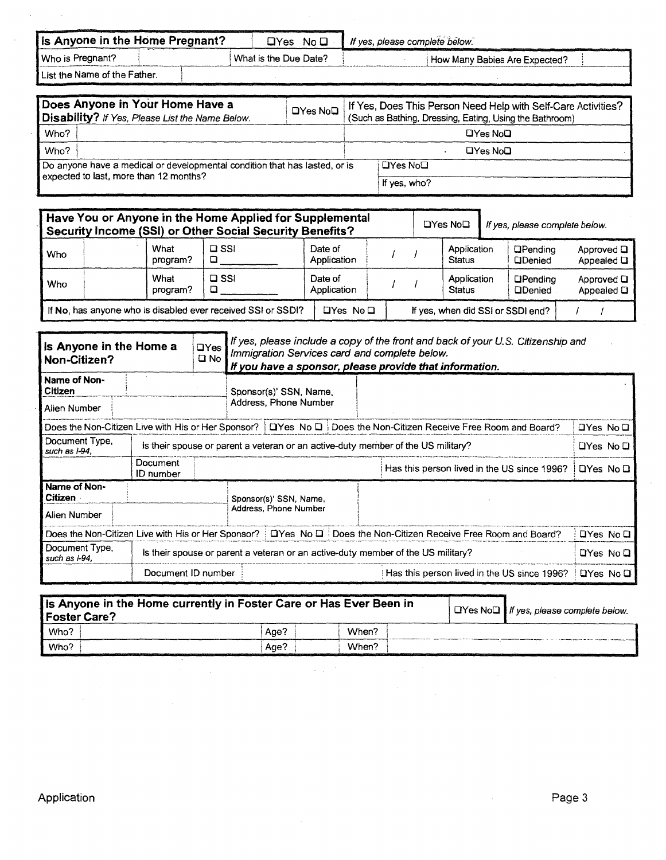| Is Anyone in the Home Pregnant?                                            | $\Box Y$ es | No O                  | If yes, please complete below.                                |  |  |  |  |
|----------------------------------------------------------------------------|-------------|-----------------------|---------------------------------------------------------------|--|--|--|--|
| Who is Pregnant?                                                           |             | What is the Due Date? | How Many Babies Are Expected?                                 |  |  |  |  |
| List the Name of the Father.                                               |             |                       |                                                               |  |  |  |  |
| Does Anyone in Your Home Have a                                            |             |                       | If Yes, Does This Person Need Help with Self-Care Activities? |  |  |  |  |
| Disability? If Yes, Please List the Name Below.                            |             | $\Box$ Yes No $\Box$  | (Such as Bathing, Dressing, Eating, Using the Bathroom)       |  |  |  |  |
| Who?                                                                       |             |                       | $DYes$ $NoD$                                                  |  |  |  |  |
| Who?                                                                       |             |                       | □Yes No□                                                      |  |  |  |  |
| Do anyone have a medical or developmental condition that has lasted, or is |             |                       | <b>OYes No</b> □                                              |  |  |  |  |

|  | expected to last, more than 12 months? |  |
|--|----------------------------------------|--|
|--|----------------------------------------|--|

 $\bar{\beta}$ 

| <b>DYes No⊡</b> |  |
|-----------------|--|
| If yes, who?    |  |

| Have You or Anyone in the Home Applied for Supplemental<br>Security Income (SSI) or Other Social Security Benefits? |                  |               |                        |  |  |                              | If yes, please complete below.    |                               |
|---------------------------------------------------------------------------------------------------------------------|------------------|---------------|------------------------|--|--|------------------------------|-----------------------------------|-------------------------------|
| Who                                                                                                                 | What<br>program? | $\square$ SSI | Date of<br>Application |  |  | Application<br><b>Status</b> | <b>OPending</b><br><b>QDenied</b> | Approved Q<br>Appealed $\Box$ |
| Who                                                                                                                 | What<br>program? | $\square$ SSI | Date of<br>Application |  |  | Application<br><b>Status</b> | <b>OPending</b><br><b>QDenied</b> | Approved $\Box$<br>Appealed Q |
| If No, has anyone who is disabled ever received SSI or SSDI?                                                        |                  |               | $\Box Y$ es No $\Box$  |  |  |                              | If yes, when did SSI or SSDI end? |                               |

| Is Anyone in the Home a<br>Non-Citizen?            |                              | $\Box$ Yes<br>□ No | If yes, please include a copy of the front and back of your U.S. Citizenship and<br>Immigration Services card and complete below.<br>If you have a sponsor, please provide that information. |                                                                                                                                                                                                      |  |                                                                        |               |           |
|----------------------------------------------------|------------------------------|--------------------|----------------------------------------------------------------------------------------------------------------------------------------------------------------------------------------------|------------------------------------------------------------------------------------------------------------------------------------------------------------------------------------------------------|--|------------------------------------------------------------------------|---------------|-----------|
| Name of Non-<br>Citizen                            |                              |                    |                                                                                                                                                                                              | Sponsor(s)' SSN, Name,                                                                                                                                                                               |  |                                                                        |               |           |
| Alien Number                                       |                              |                    |                                                                                                                                                                                              | Address, Phone Number                                                                                                                                                                                |  |                                                                        |               |           |
| Does the Non-Citizen Live with His or Her Sponsor? |                              |                    |                                                                                                                                                                                              |                                                                                                                                                                                                      |  | $\Box$ Yes No $\Box$ Does the Non-Citizen Receive Free Room and Board? | QYes No D     |           |
| Document Type,<br>such as I-94.                    |                              |                    | Is their spouse or parent a veteran or an active-duty member of the US military?                                                                                                             |                                                                                                                                                                                                      |  |                                                                        |               |           |
|                                                    | Document<br><b>ID</b> number |                    |                                                                                                                                                                                              |                                                                                                                                                                                                      |  | Has this person lived in the US since 1996?                            | $DYes$ No $D$ |           |
| Name of Non-<br>Citizen                            |                              |                    | Sponsor(s)' SSN, Name,                                                                                                                                                                       |                                                                                                                                                                                                      |  |                                                                        |               |           |
| Alien Number                                       |                              |                    | Address, Phone Number                                                                                                                                                                        |                                                                                                                                                                                                      |  |                                                                        |               |           |
| Document Type,<br>such as I-94.                    |                              |                    |                                                                                                                                                                                              | Does the Non-Citizen Live with His or Her Sponsor? [DYes No D] Does the Non-Citizen Receive Free Room and Board?<br>Is their spouse or parent a veteran or an active-duty member of the US military? |  |                                                                        |               |           |
|                                                    |                              |                    |                                                                                                                                                                                              |                                                                                                                                                                                                      |  |                                                                        |               |           |
|                                                    | Document ID number           |                    |                                                                                                                                                                                              |                                                                                                                                                                                                      |  | Has this person lived in the US since 1996?                            |               | ロYes No ロ |

| is Anyone in the Home currently in Foster Care or Has Ever Been in<br><b>Foster Care?</b> | $\Box$ Yes No $\Box$ If yes, please complete below. |       |  |
|-------------------------------------------------------------------------------------------|-----------------------------------------------------|-------|--|
| Who?                                                                                      | Age?                                                | When? |  |
| Who?                                                                                      | Age?                                                | When? |  |

 $\bar{z}$ 

 $\hat{\mathcal{A}}$ 

 $\sim 10^{-3}$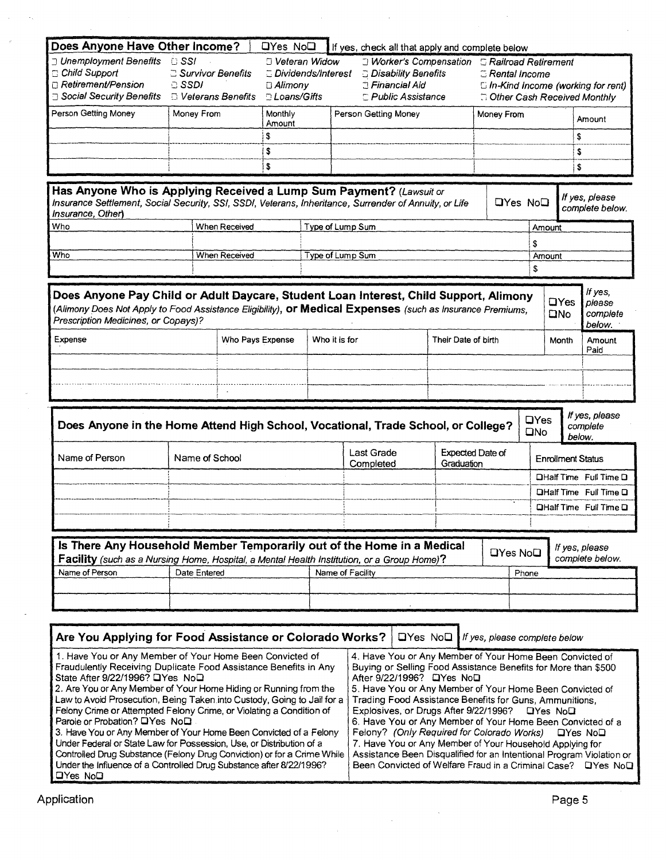|                                                                                                                                                                                                    | Does Anyone Have Other Income? |                  | <b>QYes NoQ</b>                                                                |                  | If yes, check all that apply and complete below                                                                                            |                                                    |                                                                                                            |                 |                          |                                                                                   |
|----------------------------------------------------------------------------------------------------------------------------------------------------------------------------------------------------|--------------------------------|------------------|--------------------------------------------------------------------------------|------------------|--------------------------------------------------------------------------------------------------------------------------------------------|----------------------------------------------------|------------------------------------------------------------------------------------------------------------|-----------------|--------------------------|-----------------------------------------------------------------------------------|
| J Unemployment Benefits<br>$\Box$ SSI<br>Child Support<br>Survivor Benefits<br>Retirement/Pension<br><b>G</b> SSDI<br>□ Social Security Benefits<br><b>D</b> Veterans Benefits                     |                                |                  | O Veteran Widow<br>Dividends/Interest<br>$\Box$ Alimony<br><b>DLoans/Gifts</b> |                  | <b>J Worker's Compensation G Railroad Retirement</b><br><b>C</b> Disability Benefits<br><b>Einancial Aid</b><br><b>E</b> Public Assistance |                                                    | $\simeq$ Rental Income<br>$\Box$ In-Kind Income (working for rent)<br><b>B</b> Other Cash Received Monthly |                 |                          |                                                                                   |
| Person Getting Money                                                                                                                                                                               | Money From                     |                  | Monthly<br>Person Getting Money<br>Money From                                  |                  |                                                                                                                                            |                                                    |                                                                                                            |                 | Amount                   |                                                                                   |
|                                                                                                                                                                                                    |                                | \$               | Amount                                                                         |                  |                                                                                                                                            |                                                    |                                                                                                            |                 | \$                       |                                                                                   |
|                                                                                                                                                                                                    |                                | \$               |                                                                                |                  |                                                                                                                                            |                                                    |                                                                                                            |                 | \$                       |                                                                                   |
|                                                                                                                                                                                                    |                                | \$               |                                                                                |                  |                                                                                                                                            |                                                    |                                                                                                            |                 | S                        |                                                                                   |
| Has Anyone Who is Applying Received a Lump Sum Payment? (Lawsuit or<br>Insurance Settlement, Social Security, SSI, SSDI, Veterans, Inheritance, Surrender of Annuity, or Life<br>Insurance, Other) |                                |                  |                                                                                |                  |                                                                                                                                            |                                                    |                                                                                                            | <b>OYes NoO</b> |                          | If yes, please<br>complete below.                                                 |
| Who                                                                                                                                                                                                | When Received                  |                  |                                                                                | Type of Lump Sum |                                                                                                                                            |                                                    |                                                                                                            | Amount          |                          |                                                                                   |
|                                                                                                                                                                                                    |                                |                  |                                                                                |                  |                                                                                                                                            |                                                    |                                                                                                            | S               |                          |                                                                                   |
| Who                                                                                                                                                                                                | When Received                  |                  |                                                                                | Type of Lump Sum |                                                                                                                                            |                                                    |                                                                                                            | Amount          |                          |                                                                                   |
|                                                                                                                                                                                                    |                                |                  |                                                                                |                  |                                                                                                                                            |                                                    |                                                                                                            | \$              |                          |                                                                                   |
| (Alimony Does Not Apply to Food Assistance Eligibility), <b>or Medical Expenses</b> (such as Insurance Premiums,<br>Prescription Medicines, or Copays)?<br>Expense                                 |                                | Who Pays Expense |                                                                                | Who it is for    |                                                                                                                                            | Their Date of birth                                |                                                                                                            |                 | <b>ONO</b><br>Month      | complete<br>below.<br>Amount<br>Paid                                              |
|                                                                                                                                                                                                    |                                |                  |                                                                                |                  |                                                                                                                                            |                                                    |                                                                                                            |                 |                          |                                                                                   |
| Does Anyone in the Home Attend High School, Vocational, Trade School, or College?                                                                                                                  |                                |                  |                                                                                |                  |                                                                                                                                            |                                                    |                                                                                                            | <b>QYes</b>     |                          | If yes, please<br>complete                                                        |
|                                                                                                                                                                                                    | Name of School                 |                  |                                                                                |                  | <b>Last Grade</b>                                                                                                                          |                                                    | <b>Expected Date of</b>                                                                                    | $\square$ No    | <b>Enrollment Status</b> | below.                                                                            |
|                                                                                                                                                                                                    |                                |                  |                                                                                |                  | Completed                                                                                                                                  | Graduation                                         |                                                                                                            |                 |                          |                                                                                   |
|                                                                                                                                                                                                    |                                |                  |                                                                                |                  |                                                                                                                                            |                                                    |                                                                                                            |                 |                          |                                                                                   |
|                                                                                                                                                                                                    |                                |                  |                                                                                |                  |                                                                                                                                            |                                                    |                                                                                                            |                 |                          |                                                                                   |
|                                                                                                                                                                                                    |                                |                  |                                                                                |                  |                                                                                                                                            |                                                    |                                                                                                            |                 |                          |                                                                                   |
| Name of Person<br>Is There Any Household Member Temporarily out of the Home in a Medical<br><b>Facility</b> (such as a Nursing Home, Hospital, a Mental Health Institution, or a Group Home)?      |                                |                  |                                                                                |                  |                                                                                                                                            |                                                    | <b>OYes NoD</b>                                                                                            |                 |                          | If yes, please<br>complete below.                                                 |
|                                                                                                                                                                                                    | Date Entered                   |                  |                                                                                | Name of Facility |                                                                                                                                            |                                                    |                                                                                                            | Phone           |                          |                                                                                   |
|                                                                                                                                                                                                    |                                |                  |                                                                                |                  |                                                                                                                                            |                                                    |                                                                                                            |                 |                          |                                                                                   |
|                                                                                                                                                                                                    |                                |                  |                                                                                |                  |                                                                                                                                            |                                                    |                                                                                                            |                 |                          |                                                                                   |
| Name of Person<br>Are You Applying for Food Assistance or Colorado Works?                                                                                                                          |                                |                  |                                                                                |                  |                                                                                                                                            | $\Box$ Yes No $\Box$ If yes, please complete below |                                                                                                            |                 |                          | DHalf Time Full Time D<br><b>QHalf Time Full Time Q</b><br>DHalf Time Full Time D |

 $\sim$ 

| <b>I GIVITY CHING OF ALLCHING OF GIVITY CHING, OF VIOLUTY &amp; CONDITION</b> | $L$ ADIOSIVES, OF DRUGS ARE SIZZI 1990 : UTES INDU                   |
|-------------------------------------------------------------------------------|----------------------------------------------------------------------|
| Parole or Probation? La Yes No.                                               | 6. Have You or Any Member of Your Home Been Convicted of a           |
| 3. Have You or Any Member of Your Home Been Convicted of a Felony             | Felony? (Only Required for Colorado Works) DYes NoD                  |
| Under Federal or State Law for Possession, Use, or Distribution of a          | 7. Have You or Any Member of Your Household Applying for             |
| Controlled Drug Substance (Felony Drug Conviction) or for a Crime While       | Assistance Been Disqualified for an Intentional Program Violation or |
| Under the Influence of a Controlled Drug Substance after 8/22/1996?           | Been Convicted of Welfare Fraud in a Criminal Case? DYes NoD         |
| $\Box Y$ es No $\Box$                                                         |                                                                      |

 $\sim$ 

 $\hat{\mathcal{A}}$ 

 $\mathcal{A}^{\mathcal{A}}$ 

 $\langle \cdot \rangle$ 

 $\mathcal{A}_\infty$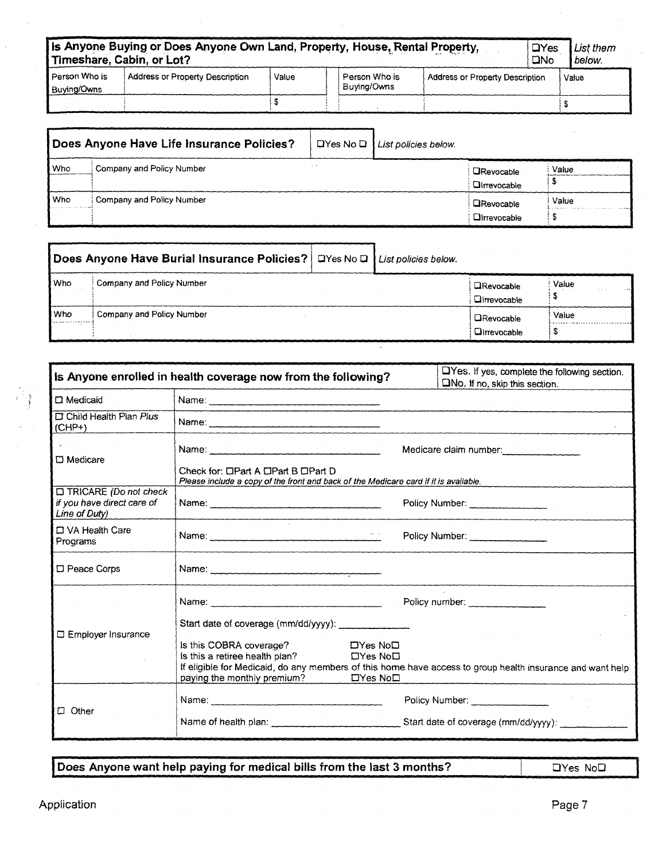| is Anyone Buying or Does Anyone Own Land, Property, House, Rental Property,<br>$\Box$ Yes<br>List them<br>Timeshare, Cabin, or Lot?<br><b>DNo</b> |                                 |       |                              |                                 |  |       |  |  |  |
|---------------------------------------------------------------------------------------------------------------------------------------------------|---------------------------------|-------|------------------------------|---------------------------------|--|-------|--|--|--|
| l Person Who is<br>Buying/Owns                                                                                                                    | Address or Property Description | Value | Person Who is<br>Buving/Owns | Address or Property Description |  | Value |  |  |  |
|                                                                                                                                                   |                                 |       |                              |                                 |  |       |  |  |  |

|            | Does Anyone Have Life Insurance Policies? | $\Box$ Yes No $\Box$ List policies below. |                                          |       |
|------------|-------------------------------------------|-------------------------------------------|------------------------------------------|-------|
| <b>Who</b> | Company and Policy Number                 |                                           | <b>ORevocable</b><br><b>QIrrevocable</b> | Value |
| Who        | Company and Policy Number                 |                                           | <b>ORevocable</b><br>Olmevocable         | Value |

| Does Anyone Have Burial Insurance Policies?   DYes No D   List policies below. |                           |  |                   |                                          |       |
|--------------------------------------------------------------------------------|---------------------------|--|-------------------|------------------------------------------|-------|
| l Who                                                                          | Company and Policy Number |  |                   | <b>CRevocable</b><br><b>Cirrevocable</b> | Value |
| l Who<br>Company and Policy Number                                             |                           |  | <b>ORevocable</b> | Value                                    |       |
|                                                                                |                           |  |                   | <b>Oltrevocable</b>                      |       |

|                                                                             | Is Anyone enrolled in health coverage now from the following?                                                                                                                                                                  | LYes. If yes, complete the following section.<br>$\square$ No. If no, skip this section.                                    |  |
|-----------------------------------------------------------------------------|--------------------------------------------------------------------------------------------------------------------------------------------------------------------------------------------------------------------------------|-----------------------------------------------------------------------------------------------------------------------------|--|
| $\Box$ Medicaid                                                             | 100 - Carl Corporation Andrew State Andrew State Andrew State Andrew State Andrew State Andrew State Andrew St                                                                                                                 |                                                                                                                             |  |
| Child Health Plan Plus<br>$(CHP+)$                                          | Name: 2008 - 2008 - 2008 - 2019 - 2019 - 2019 - 2019 - 2019 - 2019 - 2019 - 2019 - 2019 - 2019 - 2019 - 2019 - 2019 - 2019 - 2019 - 2019 - 2019 - 2019 - 2019 - 2019 - 2019 - 2019 - 2019 - 2019 - 2019 - 2019 - 2019 - 2019 - |                                                                                                                             |  |
| $\square$ Medicare                                                          | Medicare claim number:<br>Check for: DPart A DPart B OPart D<br>Please include a copy of the front and back of the Medicare card if it is available.                                                                           |                                                                                                                             |  |
| $\Box$ TRICARE (Do not check<br>if you have direct care of<br>Line of Duty) |                                                                                                                                                                                                                                | Policy Number:                                                                                                              |  |
| D VA Health Care<br>Programs                                                |                                                                                                                                                                                                                                | Policy Number:                                                                                                              |  |
| D Peace Corps                                                               |                                                                                                                                                                                                                                |                                                                                                                             |  |
| □ Employer Insurance                                                        | Start date of coverage (mm/dd/yyyy):<br>is this COBRA coverage?<br>$\Box$ Yes No $\Box$<br>Is this a retiree health plan?<br>$\Box$ Yes No $\Box$<br>paying the monthly premium?<br>$\Box$ Yes No $\Box$                       | Policy number:<br>If eligible for Medicaid, do any members of this home have access to group health insurance and want help |  |
| $\Box$ Other                                                                |                                                                                                                                                                                                                                | Policy Number:                                                                                                              |  |

**Does Anyone want help paying for medical bills from the last 3 months?** DYes NoD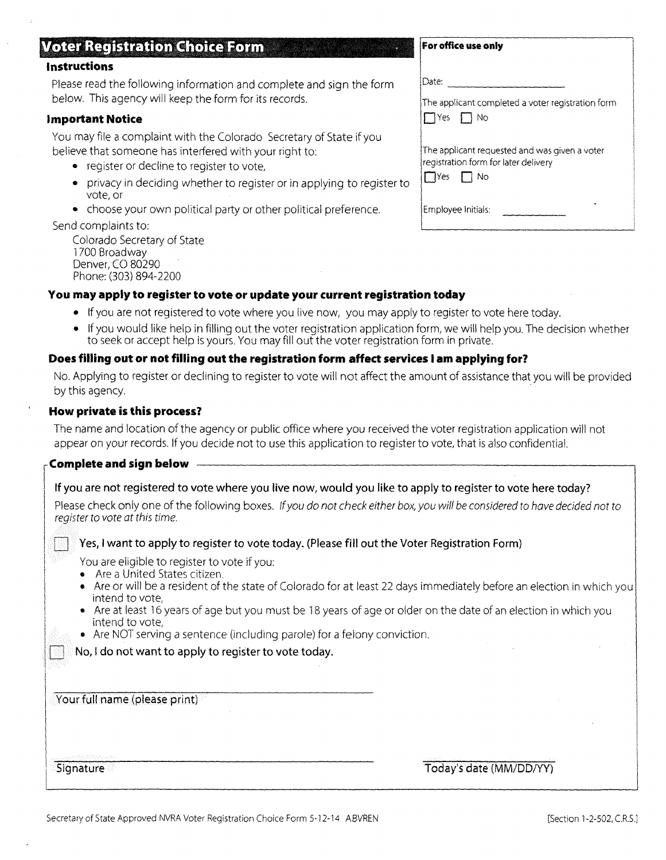## **Voter Registration Choice Form**

## **Instructions**

Please read the following information and complete and sign the form below. This agency will keep the form for its records.

#### **Important Notice**

You may file a complaint with the Colorado Secretary of State if you believe that someone has interfered with your right to:

- register or decline to register to vote,
- privacy in deciding whether to register or in applying to register to vote, or
- choose your own political party or other political preference.

#### Send complaints to:

Colorado Secretary of State 1700 Broadway Denver, CO 80290 Phone: (303) 894-2200

| Date:                                                                                                         |
|---------------------------------------------------------------------------------------------------------------|
| The applicant completed a voter registration form<br>$\Box$ Yes $\Box$ No                                     |
| The applicant requested and was given a voter<br>registration form for later delivery<br>$\Box$ Yes $\Box$ No |
| Employee Initials:                                                                                            |

**For office use only** 

## **You may apply to register to vote or update your current registration today**

- If you are not registered to vote where you live now, you may apply to register to vote here today.
- If you would like help in filling out the voter registration application form, we will help you. The decision whether to seek or accept help is yours. You may fill out the voter registration form in private.

## **Does filling out or not filling out the registration form affect services I am applying for?**

No. Applying to register or declining to register to vote will not affect the amount of assistance that you will be provided by this agency.

#### **How private is this process?**

The name and location of the agency or public office where you received the voter registration application will not appear on your records. If you decide not to use this application to register to vote, that is also confidential.

| If you are not registered to vote where you live now, would you like to apply to register to vote here today?<br>Please check only one of the following boxes. If you do not check either box, you will be considered to have decided not to<br>Yes, I want to apply to register to vote today. (Please fill out the Voter Registration Form)<br>Are or will be a resident of the state of Colorado for at least 22 days immediately before an election in which you<br>Are at least 16 years of age but you must be 18 years of age or older on the date of an election in which you<br>• Are NOT serving a sentence (including parole) for a felony conviction. |
|-------------------------------------------------------------------------------------------------------------------------------------------------------------------------------------------------------------------------------------------------------------------------------------------------------------------------------------------------------------------------------------------------------------------------------------------------------------------------------------------------------------------------------------------------------------------------------------------------------------------------------------------------------------------|
|                                                                                                                                                                                                                                                                                                                                                                                                                                                                                                                                                                                                                                                                   |
| Today's date (MM/DD/YY)                                                                                                                                                                                                                                                                                                                                                                                                                                                                                                                                                                                                                                           |
|                                                                                                                                                                                                                                                                                                                                                                                                                                                                                                                                                                                                                                                                   |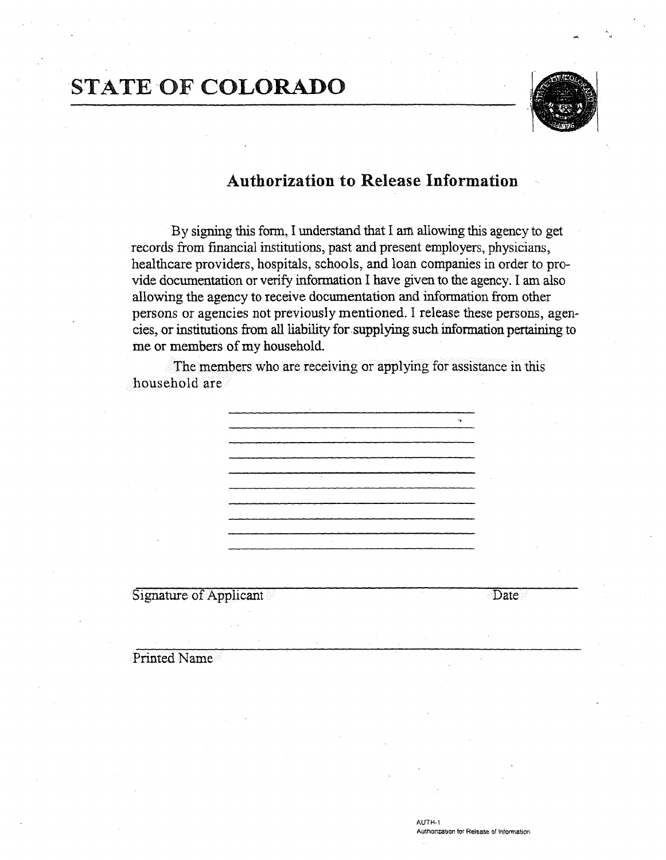# STATE **OF COLORADO**



## **Authorization to Release Information**

By signing this form, I understand that I am allowing this agency to get records from financial institutions, past and present employers, physicians, healthcare providers, hospitals, schools, and loan companies in order to provide documentation or verify information I have given to the agency. I am also allowing the agency to receive documentation and information from other persons or agencies not previously mentioned. I release these persons, agencies, or institutions from all liability for supplying such information pertaining to me or members of my household.

The members who are receiving or applying for assistance in this household are

Signature of Applicant Date Date

Printed Name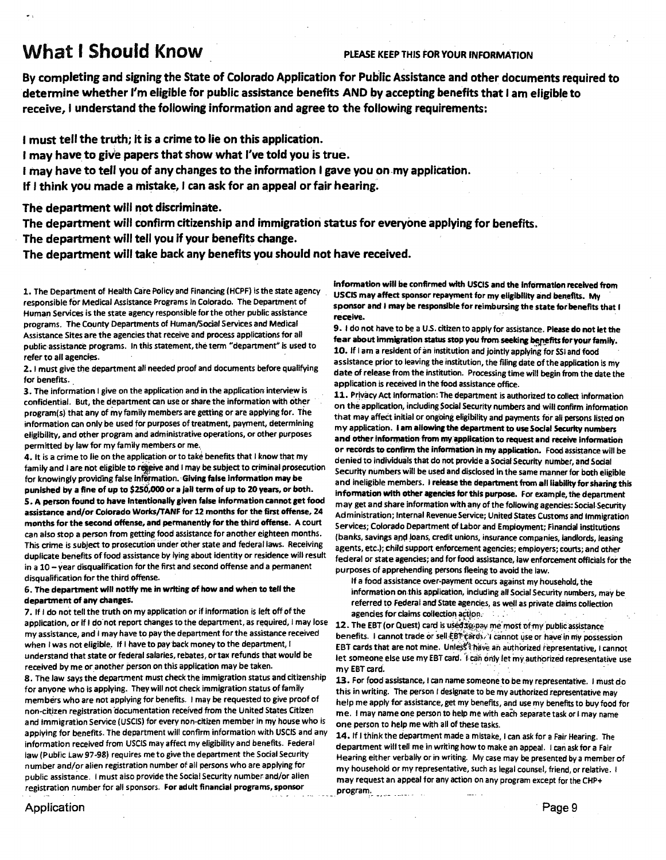## **What I Should Know** *PLEASE KEEP THIS FOR YOUR INFORMATION*

**By completing and signing the State of Colorado Application for Public Assistance and other documents required to determine whether I'm eligible for public assistance benefits AND by accepting benefits that I am eligible to receive, I understand the following information and agree to the following requirements:** 

**I must tell the truth; it is a crime to lie on this application.** 

**I may have to give papers that show what I've told you is true.** 

**I may have to tell you of any changes to the information I gave you on my application.** 

**If I think you made a mistake,** I **can ask for an appeal or fair hearing.** 

**The department will not discriminate.** 

**The department will confirm citizenship and immigration status for everyone applying for benefits.** 

**The department will tell you if your benefits change.** 

**The department will take back any benefits you should not have received.** 

1. The Department of Health Care Policy and Financing (HCPF) is the state agency responsible for Medical Assistance Programs in Colorado. The Department of Human Services is the state agency responsible for the other public assistance programs. The County Departments of Human/Social Services and Medical Assistance Sites are the agencies that receive and process applications for all public assistance programs. In this statement, the term "department" is used to refer to all agencies.

2. I must give the department all needed proof and documents before qualifying for benefits.

3. The information I give on the application and in the application interview is confidential. But, the department can use or share the information with other program(s) that any of my family members are getting or are applying for. The information can only be used for purposes of treatment, payment, determining eligibility, and other program and administrative operations, or other purposes permitted by law for my family members or me,

4. It is a crime to lie on the application or to take benefits that I know that my family and I are not eligible to regeive and I may be subject to criminal prosecution for knowingly providing false inffirmation. **Giving false information may be punished by a fine of up to \$250,000 or a jail term of up to 20 years, or both. S. A person found to have intentionally given false information cannot get food assistance and/or Colorado Works/TANF for 12 months for the first offense, 24 months for the second offense, and permanently for the third offense.** A court can also stop a person from getting food assistance for another eighteen months. This crime is subject to prosecution' under other state and federal laws. Receiving duplicate benefits of food assistance by lying about identity or residence will result in a 10 — year disqualification for the first and second offense and a permanent disqualification for the third offense.

#### **6. The department will notify main writing of how and when to tell the department of any changes.**

7. If I do not tell the truth on my application or if information is left off of the application, or if I do not report changes to the department, as required, I may lose my assistance, and I may have to pay the department for the assistance received when I was not eligible. If I have to pay back money to the department, I understand that state or federal salaries, rebates, or tax refunds that would be received by me or another person on this application may be taken.

**8. The** law says the department must check the immigration status and citizenship for anyone who is applying. They will not check immigration status of family members who are not applying for benefits. I may be requested to give proof of non-citizen registration 'documentation received from the United States Citizen and Immigration Service (USCIS) for every non-citizen member in my house who is applying for benefits. The department will confirm information with USCIS and any information received from USCIS may affect my eligibility and benefits. Federal law (Public Law 97-98) requires me to give the department the Social Security number and/or alien registration number of all persons who are applying for public assistance. I must also provide the Social Security number and/or alien registration number for all sponsors. **For adult financial programs, sponsor** 

**Information will be confirmed with USCIS and the information received from USCIS may affect sponsor repayment for my eligibility and benefits.** My **sponsor and I may be responsible for reimbursing the state for benefits that I receive.** 

**9. I** do not have to be a U.S. citizen to apply for assistance. **Please do not let the**  fear about immigration status stop you from seeking benefits for your family. **10. If** lam a resident of in **institution and jointly applying for** SSI and food assistance prior to leaving the institution, the filing date of the application is my date of release from the institution. Processing time will begin from the date the application is received In the food assistance office.

**11..** Privacy Act Information: The department is authorized to collect information on the application, including Social Security numbers and will confirm information that may affect initial or ongoing eligibility and payments for all persons listed on my application. **lam allowing the department to use Social Security numbers and other information from my application to request and receive information or records to confirm the information in my application.** Food assistance will be denied to individuals that do not provide a Social Security number, and Social Security numbers will be used and disclosed in the same manner for both eligible and ineligible members. I **release the department from all liability for sharing this information with other agencies for this purpose. For example, the** department may get and share information with any of the following agencies: Social-Security Administration; Internal Revenue Service; United States Customs and Immigration Services; Colorado Department of Labor and Employment; Financial institutions (banks, savings and loans, credit unions, insurance companies, landlords, leasing agents, etc.); child support enforcement agencies; employers; courts; and other federal or state agencies; and for food assistance, law enforcement officials for the purposes of apprehending persons fleeing to avoid the law.

If a food assistance over-payment occurs against my household, the information on this application, induding all Social Security numbers, may be referred to Federal and State agencies, as well as private daims collection agencies for claims collection action.

12. The EBT (or Quest) card is used tig pay me most of my public assistance benefits. I cannot trade or sell EBT cards. I cannot use or have in my possession EBT cards that are not mine. Unless thave an authorized representative, I cannot let someone else use my EBT card. I can only let my authorized representative use my EBT card.

13. For food assistance, I can name someone to be my representative. I must do this in writing. The person I designate to be my authorized representative may help me apply for assistance, get my benefits, and use my benefits to buy food for me. I may name one person to help me with eaeh separate task or I may name one person to help me with all of these tasks.

**14. If I** think the department made a mistake, I can ask for a Fair Hearing. The department will tell me in writing how to make an appeal. I can ask for a Fair Hearing either verbally or in writing. My case may be presented by a member of my household or my representative, such as legal counsel, friend, or relative. I may request an appeal for any action on any program except for the CHP+

program.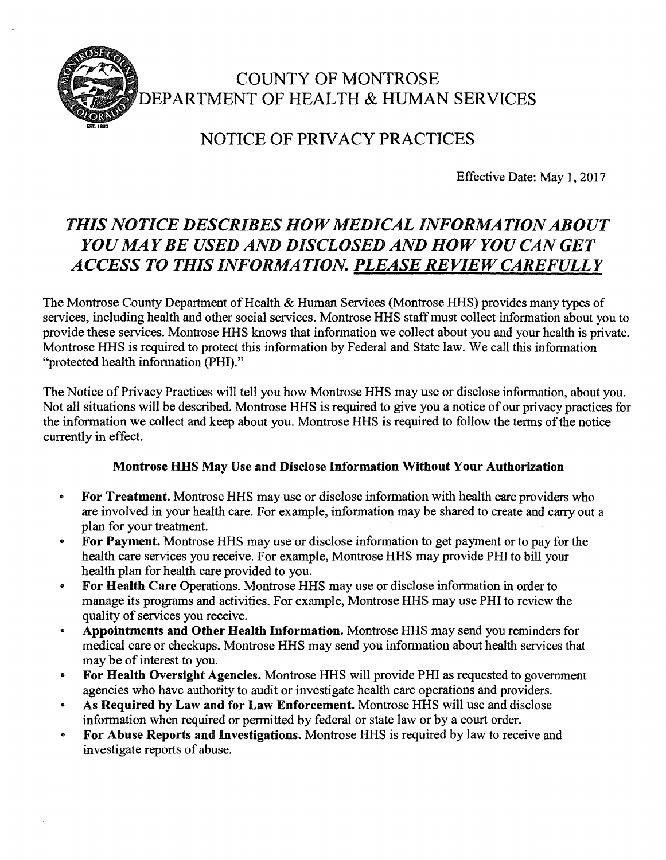

## COUNTY OF MONTROSE DEPARTMENT OF HEALTH & HUMAN SERVICES

## NOTICE OF PRIVACY PRACTICES

Effective Date: May 1, 2017

## *THIS NOTICE DESCRIBES HOW MEDICAL INFORMATION ABOUT YOU MAY BE USED AND DISCLOSED AND HOW YOU CAN GET ACCESS TO THIS INFORMATION. PLEASE REVIEW CAREFULLY*

The Montrose County Department of Health & Human Services (Montrose HHS) provides many types of services, including health and other social services. Montrose HHS staff must collect information about you to provide these services. Montrose HHS knows that information we collect about you and your health is private. Montrose HHS is required to protect this information by Federal and State law. We call this information "protected health information (PHI)."

The Notice of Privacy Practices will tell you how Montrose HHS may use or disclose information, about you. Not all situations will be described. Montrose HHS is required to give you a notice of our privacy practices for the information we collect and keep about you. Montrose HHS is required to follow the terms of the notice currently in effect.

## **Montrose HHS May Use and Disclose Information Without Your Authorization**

- **For Treatment.** Montrose HHS may use or disclose information with health care providers who are involved in your health care. For example, information may be shared to create and carry out a plan for your treatment.
- **For Payment.** Montrose HHS may use or disclose information to get payment or to pay for the health care services you receive. For example, Montrose HHS may provide PHI to bill your health plan for health care provided to you.
- **For Health Care** Operations. Montrose HHS may use or disclose information in order to manage its programs and activities. For example, Montrose HHS may use PHI to review the quality of services you receive.
- **Appointments and Other Health Information.** Montrose HHS may send you reminders for medical care or checkups. Montrose HHS may send you information about health services that may be of interest to you.
- **For Health Oversight Agencies.** Montrose HHS will provide PHI as requested to government agencies who have authority to audit or investigate health care operations and providers.
- **As Required by Law and for Law Enforcement.** Montrose HHS will use and disclose information when required or permitted by federal or state law or by a court order.
- **For Abuse Reports and Investigations.** Montrose HHS is required by law to receive and investigate reports of abuse.